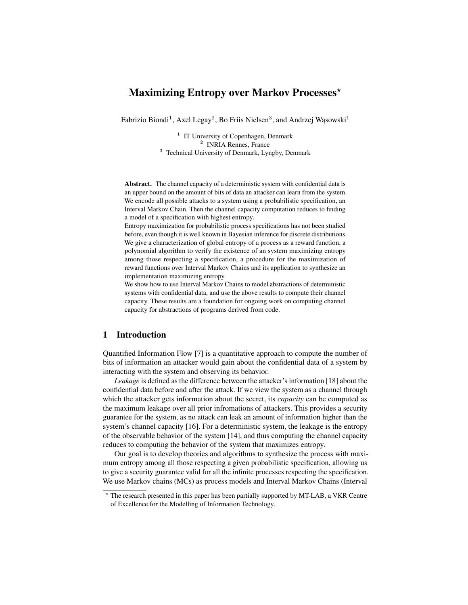# Maximizing Entropy over Markov Processes<sup>\*</sup>

Fabrizio Biondi<sup>1</sup>, Axel Legay<sup>2</sup>, Bo Friis Nielsen<sup>3</sup>, and Andrzej Wąsowski<sup>1</sup>

<sup>1</sup> IT University of Copenhagen, Denmark 2 INRIA Rennes, France <sup>3</sup> Technical University of Denmark, Lyngby, Denmark

Abstract. The channel capacity of a deterministic system with confidential data is an upper bound on the amount of bits of data an attacker can learn from the system. We encode all possible attacks to a system using a probabilistic specification, an Interval Markov Chain. Then the channel capacity computation reduces to finding a model of a specification with highest entropy.

Entropy maximization for probabilistic process specifications has not been studied before, even though it is well known in Bayesian inference for discrete distributions. We give a characterization of global entropy of a process as a reward function, a polynomial algorithm to verify the existence of an system maximizing entropy among those respecting a specification, a procedure for the maximization of reward functions over Interval Markov Chains and its application to synthesize an implementation maximizing entropy.

We show how to use Interval Markov Chains to model abstractions of deterministic systems with confidential data, and use the above results to compute their channel capacity. These results are a foundation for ongoing work on computing channel capacity for abstractions of programs derived from code.

# 1 Introduction

Quantified Information Flow [7] is a quantitative approach to compute the number of bits of information an attacker would gain about the confidential data of a system by interacting with the system and observing its behavior.

*Leakage* is defined as the difference between the attacker's information [18] about the confidential data before and after the attack. If we view the system as a channel through which the attacker gets information about the secret, its *capacity* can be computed as the maximum leakage over all prior infromations of attackers. This provides a security guarantee for the system, as no attack can leak an amount of information higher than the system's channel capacity [16]. For a deterministic system, the leakage is the entropy of the observable behavior of the system [14], and thus computing the channel capacity reduces to computing the behavior of the system that maximizes entropy.

Our goal is to develop theories and algorithms to synthesize the process with maximum entropy among all those respecting a given probabilistic specification, allowing us to give a security guarantee valid for all the infinite processes respecting the specification. We use Markov chains (MCs) as process models and Interval Markov Chains (Interval

<sup>?</sup> The research presented in this paper has been partially supported by MT-LAB, a VKR Centre of Excellence for the Modelling of Information Technology.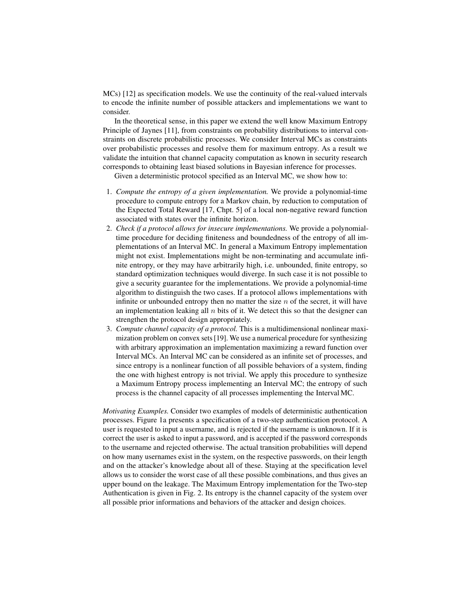MCs) [12] as specification models. We use the continuity of the real-valued intervals to encode the infinite number of possible attackers and implementations we want to consider.

In the theoretical sense, in this paper we extend the well know Maximum Entropy Principle of Jaynes [11], from constraints on probability distributions to interval constraints on discrete probabilistic processes. We consider Interval MCs as constraints over probabilistic processes and resolve them for maximum entropy. As a result we validate the intuition that channel capacity computation as known in security research corresponds to obtaining least biased solutions in Bayesian inference for processes.

Given a deterministic protocol specified as an Interval MC, we show how to:

- 1. *Compute the entropy of a given implementation.* We provide a polynomial-time procedure to compute entropy for a Markov chain, by reduction to computation of the Expected Total Reward [17, Chpt. 5] of a local non-negative reward function associated with states over the infinite horizon.
- 2. *Check if a protocol allows for insecure implementations.* We provide a polynomialtime procedure for deciding finiteness and boundedness of the entropy of all implementations of an Interval MC. In general a Maximum Entropy implementation might not exist. Implementations might be non-terminating and accumulate infinite entropy, or they may have arbitrarily high, i.e. unbounded, finite entropy, so standard optimization techniques would diverge. In such case it is not possible to give a security guarantee for the implementations. We provide a polynomial-time algorithm to distinguish the two cases. If a protocol allows implementations with infinite or unbounded entropy then no matter the size  $n$  of the secret, it will have an implementation leaking all  $n$  bits of it. We detect this so that the designer can strengthen the protocol design appropriately.
- 3. *Compute channel capacity of a protocol.* This is a multidimensional nonlinear maximization problem on convex sets [19]. We use a numerical procedure for synthesizing with arbitrary approximation an implementation maximizing a reward function over Interval MCs. An Interval MC can be considered as an infinite set of processes, and since entropy is a nonlinear function of all possible behaviors of a system, finding the one with highest entropy is not trivial. We apply this procedure to synthesize a Maximum Entropy process implementing an Interval MC; the entropy of such process is the channel capacity of all processes implementing the Interval MC.

*Motivating Examples.* Consider two examples of models of deterministic authentication processes. Figure 1a presents a specification of a two-step authentication protocol. A user is requested to input a username, and is rejected if the username is unknown. If it is correct the user is asked to input a password, and is accepted if the password corresponds to the username and rejected otherwise. The actual transition probabilities will depend on how many usernames exist in the system, on the respective passwords, on their length and on the attacker's knowledge about all of these. Staying at the specification level allows us to consider the worst case of all these possible combinations, and thus gives an upper bound on the leakage. The Maximum Entropy implementation for the Two-step Authentication is given in Fig. 2. Its entropy is the channel capacity of the system over all possible prior informations and behaviors of the attacker and design choices.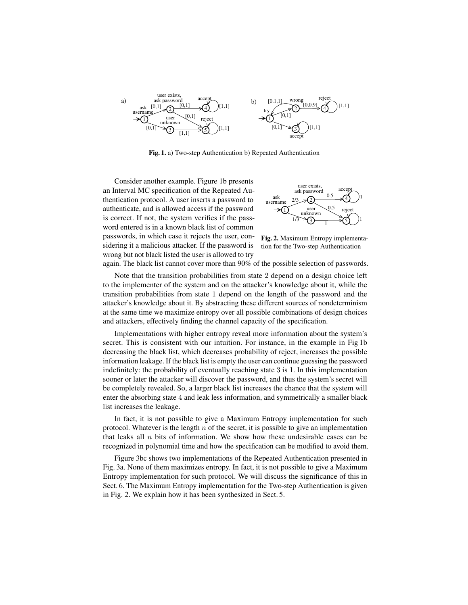

Fig. 1. a) Two-step Authentication b) Repeated Authentication

Consider another example. Figure 1b presents an Interval MC specification of the Repeated Authentication protocol. A user inserts a password to authenticate, and is allowed access if the password is correct. If not, the system verifies if the password entered is in a known black list of common passwords, in which case it rejects the user, considering it a malicious attacker. If the password is wrong but not black listed the user is allowed to try



Fig. 2. Maximum Entropy implementation for the Two-step Authentication

again. The black list cannot cover more than 90% of the possible selection of passwords.

Note that the transition probabilities from state 2 depend on a design choice left to the implementer of the system and on the attacker's knowledge about it, while the transition probabilities from state 1 depend on the length of the password and the attacker's knowledge about it. By abstracting these different sources of nondeterminism at the same time we maximize entropy over all possible combinations of design choices and attackers, effectively finding the channel capacity of the specification.

Implementations with higher entropy reveal more information about the system's secret. This is consistent with our intuition. For instance, in the example in Fig 1b decreasing the black list, which decreases probability of reject, increases the possible information leakage. If the black list is empty the user can continue guessing the password indefinitely: the probability of eventually reaching state 3 is 1. In this implementation sooner or later the attacker will discover the password, and thus the system's secret will be completely revealed. So, a larger black list increases the chance that the system will enter the absorbing state 4 and leak less information, and symmetrically a smaller black list increases the leakage.

In fact, it is not possible to give a Maximum Entropy implementation for such protocol. Whatever is the length  $n$  of the secret, it is possible to give an implementation that leaks all  $n$  bits of information. We show how these undesirable cases can be recognized in polynomial time and how the specification can be modified to avoid them.

Figure 3bc shows two implementations of the Repeated Authentication presented in Fig. 3a. None of them maximizes entropy. In fact, it is not possible to give a Maximum Entropy implementation for such protocol. We will discuss the significance of this in Sect. 6. The Maximum Entropy implementation for the Two-step Authentication is given in Fig. 2. We explain how it has been synthesized in Sect. 5.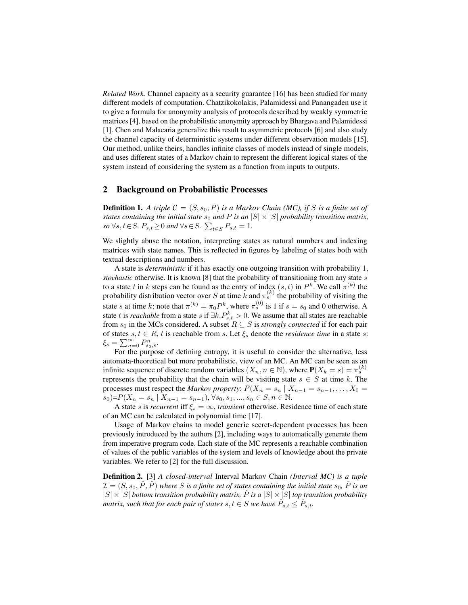*Related Work.* Channel capacity as a security guarantee [16] has been studied for many different models of computation. Chatzikokolakis, Palamidessi and Panangaden use it to give a formula for anonymity analysis of protocols described by weakly symmetric matrices [4], based on the probabilistic anonymity approach by Bhargava and Palamidessi [1]. Chen and Malacaria generalize this result to asymmetric protocols [6] and also study the channel capacity of deterministic systems under different observation models [15]. Our method, unlike theirs, handles infinite classes of models instead of single models, and uses different states of a Markov chain to represent the different logical states of the system instead of considering the system as a function from inputs to outputs.

#### 2 Background on Probabilistic Processes

**Definition 1.** A triple  $C = (S, s_0, P)$  is a Markov Chain (MC), if S is a finite set of *states containing the initial state*  $s_0$  *and* P *is an*  $|S| \times |S|$  *probability transition matrix,*  $so \forall s, t \in S$ .  $P_{s,t} \ge 0$  and  $\forall s \in S$ .  $\sum_{t \in S} P_{s,t} = 1$ .

We slightly abuse the notation, interpreting states as natural numbers and indexing matrices with state names. This is reflected in figures by labeling of states both with textual descriptions and numbers.

A state is *deterministic* if it has exactly one outgoing transition with probability 1, *stochastic* otherwise. It is known [8] that the probability of transitioning from any state s to a state t in k steps can be found as the entry of index  $(s, t)$  in  $P^k$ . We call  $\pi^{(k)}$  the probability distribution vector over S at time k and  $\pi_s^{(k)}$  the probability of visiting the state s at time k; note that  $\pi^{(k)} = \pi_0 P^k$ , where  $\pi_s^{(0)}$  is 1 if  $s = s_0$  and 0 otherwise. A state t is *reachable* from a state s if  $\exists k.P_{s,t}^k > 0$ . We assume that all states are reachable from  $s_0$  in the MCs considered. A subset  $R \subseteq S$  is *strongly connected* if for each pair of states  $s, t \in R$ , t is reachable from s. Let  $\xi_s$  denote the *residence time* in a state s:  $\xi_s = \sum_{n=0}^{\infty} P_{s_0,s}^n$ .

For the purpose of defining entropy, it is useful to consider the alternative, less automata-theoretical but more probabilistic, view of an MC. An MC can be seen as an infinite sequence of discrete random variables  $(X_n, n \in \mathbb{N})$ , where  $\mathbf{P}(X_k = s) = \pi_s^{(k)}$ represents the probability that the chain will be visiting state  $s \in S$  at time k. The processes must respect the *Markov property*:  $P(X_n = s_n | X_{n-1} = s_{n-1}, \ldots, X_0 =$  $s_0$ )= $P(X_n = s_n | X_{n-1} = s_{n-1}), \forall s_0, s_1, ..., s_n \in S, n \in \mathbb{N}.$ 

A state s is *recurrent* iff  $\xi_s = \infty$ , *transient* otherwise. Residence time of each state of an MC can be calculated in polynomial time [17].

Usage of Markov chains to model generic secret-dependent processes has been previously introduced by the authors [2], including ways to automatically generate them from imperative program code. Each state of the MC represents a reachable combination of values of the public variables of the system and levels of knowledge about the private variables. We refer to [2] for the full discussion.

Definition 2. [3] *A closed-interval* Interval Markov Chain *(Interval MC) is a tuple*  $\mathcal{I} = (S, s_0, P, P)$  *where* S *is a finite set of states containing the initial state*  $s_0$ , P *is an*  $|S| \times |S|$  bottom transition probability matrix, P is a  $|S| \times |S|$  top transition probability  $\hat{P}_{s,t}$  and that for each pair of states  $s,t \in S$  we have  $\check{P}_{s,t} \leq \hat{P}_{s,t}$ .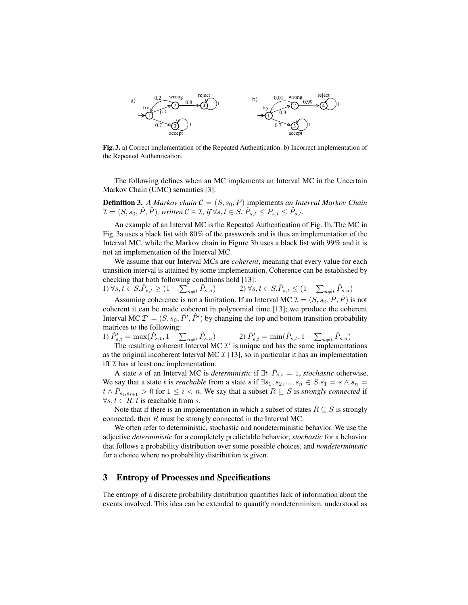

Fig. 3. a) Correct implementation of the Repeated Authentication. b) Incorrect implementation of the Repeated Authentication.

The following defines when an MC implements an Interval MC in the Uncertain Markov Chain (UMC) semantics [3]:

**Definition 3.** A Markov chain  $C = (S, s_0, P)$  implements an Interval Markov Chain  $\mathcal{I} = (S, s_0, \check{P}, \hat{P})$ , written  $\mathcal{C} \vDash \mathcal{I}$ , if  $\forall s,t \in S$ .  $\check{P}_{s,t} \leq P_{s,t} \leq \hat{P}_{s,t}$ .

An example of an Interval MC is the Repeated Authentication of Fig. 1b. The MC in Fig. 3a uses a black list with 80% of the passwords and is thus an implementation of the Interval MC, while the Markov chain in Figure 3b uses a black list with 99% and it is not an implementation of the Interval MC.

We assume that our Interval MCs are *coherent*, meaning that every value for each transition interval is attained by some implementation. Coherence can be established by checking that both following conditions hold [13]:

1) 
$$
\forall s, t \in S. \check{P}_{s,t} \geq (1 - \sum_{u \neq t} \hat{P}_{s,u})
$$
  
2)  $\forall s, t \in S. \hat{P}_{s,t} \leq (1 - \sum_{u \neq t} \check{P}_{s,u})$ 

Assuming coherence is not a limitation. If an Interval MC  $\mathcal{I} = (S, s_0, \check{P}, \hat{P})$  is not coherent it can be made coherent in polynomial time [13]; we produce the coherent Interval MC  $\mathcal{I}' = (S, s_0, \check{P}', \hat{P}')$  by changing the top and bottom transition probability matrices to the following:

1) Pˇ<sup>0</sup> s,t = max(P<sup>ˇ</sup> s,t, 1 − P <sup>u</sup>6=<sup>t</sup> <sup>P</sup><sup>ˆ</sup> s,u) 2) Pˆ<sup>0</sup> s,t = min(P<sup>ˆ</sup> s,t, 1 − P <sup>u</sup>6=<sup>t</sup> <sup>P</sup><sup>ˇ</sup> s,u)

The resulting coherent Interval MC  $\mathcal{I}'$  is unique and has the same implementations as the original incoherent Interval MC  $\mathcal{I}$  [13], so in particular it has an implementation iff  $I$  has at least one implementation.

A state s of an Interval MC is *deterministic* if  $\exists t$ .  $\check{P}_{s,t} = 1$ , *stochastic* otherwise. We say that a state t is *reachable* from a state s if  $\exists s_1, s_2, ..., s_n \in S.s_1 = s \land s_n = s$  $t \wedge \overset{\sim}{P}_{s_i,s_{i+1}} > 0$  for  $1 \leq i < n$ . We say that a subset  $R \subseteq S$  is *strongly connected* if  $\forall s, t \in R$ , t is reachable from s.

Note that if there is an implementation in which a subset of states  $R \subseteq S$  is strongly connected, then R must be strongly connected in the Interval MC.

We often refer to deterministic, stochastic and nondeterministic behavior. We use the adjective *deterministic* for a completely predictable behavior, *stochastic* for a behavior that follows a probability distribution over some possible choices, and *nondeterministic* for a choice where no probability distribution is given.

# 3 Entropy of Processes and Specifications

The entropy of a discrete probability distribution quantifies lack of information about the events involved. This idea can be extended to quantify nondeterminism, understood as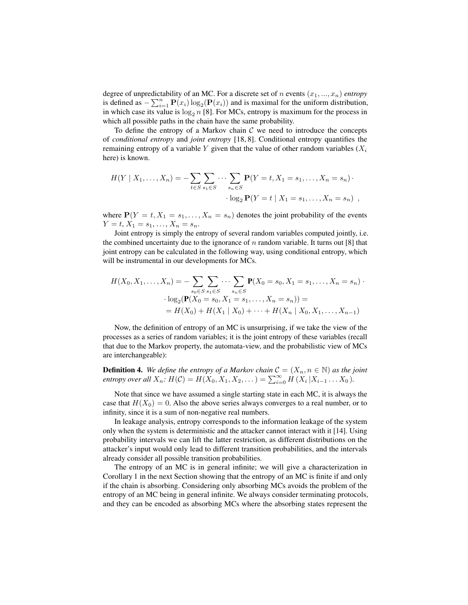degree of unpredictability of an MC. For a discrete set of n events  $(x_1, ..., x_n)$  *entropy* is defined as  $-\sum_{i=1}^{n} P(x_i) \log_2(P(x_i))$  and is maximal for the uniform distribution, in which case its value is  $\log_2 n$  [8]. For MCs, entropy is maximum for the process in which all possible paths in the chain have the same probability.

To define the entropy of a Markov chain  $C$  we need to introduce the concepts of *conditional entropy* and *joint entropy* [18, 8]. Conditional entropy quantifies the remaining entropy of a variable Y given that the value of other random variables  $(X_i)$ here) is known.

$$
H(Y | X_1, ..., X_n) = -\sum_{t \in S} \sum_{s_1 \in S} \cdots \sum_{s_n \in S} \mathbf{P}(Y = t, X_1 = s_1, ..., X_n = s_n) \cdot \log_2 \mathbf{P}(Y = t | X_1 = s_1, ..., X_n = s_n) ,
$$

where  $P(Y = t, X_1 = s_1, \ldots, X_n = s_n)$  denotes the joint probability of the events  $Y = t, X_1 = s_1, \ldots, X_n = s_n.$ 

Joint entropy is simply the entropy of several random variables computed jointly, i.e. the combined uncertainty due to the ignorance of  $n$  random variable. It turns out [8] that joint entropy can be calculated in the following way, using conditional entropy, which will be instrumental in our developments for MCs.

$$
H(X_0, X_1, \dots, X_n) = -\sum_{s_0 \in S} \sum_{s_1 \in S} \dots \sum_{s_n \in S} \mathbf{P}(X_0 = s_0, X_1 = s_1, \dots, X_n = s_n) \cdot \log_2(\mathbf{P}(X_0 = s_0, X_1 = s_1, \dots, X_n = s_n)) =
$$
  
=  $H(X_0) + H(X_1 | X_0) + \dots + H(X_n | X_0, X_1, \dots, X_{n-1})$ 

Now, the definition of entropy of an MC is unsurprising, if we take the view of the processes as a series of random variables; it is the joint entropy of these variables (recall that due to the Markov property, the automata-view, and the probabilistic view of MCs are interchangeable):

**Definition 4.** We define the entropy of a Markov chain  $\mathcal{C} = (X_n, n \in \mathbb{N})$  as the joint *entropy over all*  $X_n$ :  $H(C) = H(X_0, X_1, X_2, ...) = \sum_{i=0}^{\infty} H(X_i | X_{i-1} ... X_0)$ .

Note that since we have assumed a single starting state in each MC, it is always the case that  $H(X_0) = 0$ . Also the above series always converges to a real number, or to infinity, since it is a sum of non-negative real numbers.

In leakage analysis, entropy corresponds to the information leakage of the system only when the system is deterministic and the attacker cannot interact with it [14]. Using probability intervals we can lift the latter restriction, as different distributions on the attacker's input would only lead to different transition probabilities, and the intervals already consider all possible transition probabilities.

The entropy of an MC is in general infinite; we will give a characterization in Corollary 1 in the next Section showing that the entropy of an MC is finite if and only if the chain is absorbing. Considering only absorbing MCs avoids the problem of the entropy of an MC being in general infinite. We always consider terminating protocols, and they can be encoded as absorbing MCs where the absorbing states represent the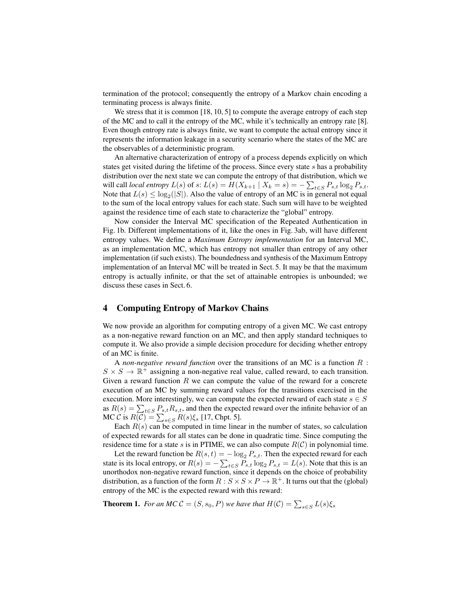termination of the protocol; consequently the entropy of a Markov chain encoding a terminating process is always finite.

We stress that it is common [18, 10, 5] to compute the average entropy of each step of the MC and to call it the entropy of the MC, while it's technically an entropy rate [8]. Even though entropy rate is always finite, we want to compute the actual entropy since it represents the information leakage in a security scenario where the states of the MC are the observables of a deterministic program.

An alternative characterization of entropy of a process depends explicitly on which states get visited during the lifetime of the process. Since every state  $s$  has a probability distribution over the next state we can compute the entropy of that distribution, which we will call *local entropy*  $L(s)$  of  $s: L(s) = H(X_{k+1} | X_k = s) = -\sum_{t \in S} P_{s,t} \log_2 P_{s,t}.$ Note that  $L(s) \leq \log_2(|S|)$ . Also the value of entropy of an MC is in general not equal to the sum of the local entropy values for each state. Such sum will have to be weighted against the residence time of each state to characterize the "global" entropy.

Now consider the Interval MC specification of the Repeated Authentication in Fig. 1b. Different implementations of it, like the ones in Fig. 3ab, will have different entropy values. We define a *Maximum Entropy implementation* for an Interval MC, as an implementation MC, which has entropy not smaller than entropy of any other implementation (if such exists). The boundedness and synthesis of the Maximum Entropy implementation of an Interval MC will be treated in Sect. 5. It may be that the maximum entropy is actually infinite, or that the set of attainable entropies is unbounded; we discuss these cases in Sect. 6.

## 4 Computing Entropy of Markov Chains

We now provide an algorithm for computing entropy of a given MC. We cast entropy as a non-negative reward function on an MC, and then apply standard techniques to compute it. We also provide a simple decision procedure for deciding whether entropy of an MC is finite.

A *non-negative reward function* over the transitions of an MC is a function R :  $S \times S \to \mathbb{R}^+$  assigning a non-negative real value, called reward, to each transition. Given a reward function  $R$  we can compute the value of the reward for a concrete execution of an MC by summing reward values for the transitions exercised in the execution. More interestingly, we can compute the expected reward of each state  $s \in S$ as  $R(s) = \sum_{t \in S} P_{s,t} R_{s,t}$ , and then the expected reward over the infinite behavior of an MC  $\mathcal{C}$  is  $R(\mathcal{C}) = \sum_{s \in S} R(s) \xi_s$  [17, Chpt. 5].

Each  $R(s)$  can be computed in time linear in the number of states, so calculation of expected rewards for all states can be done in quadratic time. Since computing the residence time for a state s is in PTIME, we can also compute  $R(C)$  in polynomial time.

Let the reward function be  $R(s,t) = -\log_2 P_{s,t}$ . Then the expected reward for each state is its local entropy, or  $R(s) = -\sum_{t \in S} P_{s,t} \log_2 P_{s,t} = L(s)$ . Note that this is an unorthodox non-negative reward function, since it depends on the choice of probability distribution, as a function of the form  $R : S \times S \times P \to \mathbb{R}^+$ . It turns out that the (global) entropy of the MC is the expected reward with this reward:

**Theorem 1.** *For an MC*  $C = (S, s_0, P)$  *we have that*  $H(C) = \sum_{s \in S} L(s) \xi_s$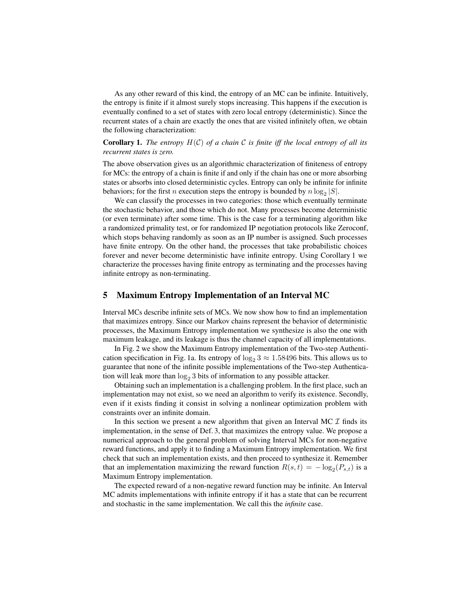As any other reward of this kind, the entropy of an MC can be infinite. Intuitively, the entropy is finite if it almost surely stops increasing. This happens if the execution is eventually confined to a set of states with zero local entropy (deterministic). Since the recurrent states of a chain are exactly the ones that are visited infinitely often, we obtain the following characterization:

## Corollary 1. *The entropy* H(C) *of a chain* C *is finite iff the local entropy of all its recurrent states is zero.*

The above observation gives us an algorithmic characterization of finiteness of entropy for MCs: the entropy of a chain is finite if and only if the chain has one or more absorbing states or absorbs into closed deterministic cycles. Entropy can only be infinite for infinite behaviors; for the first *n* execution steps the entropy is bounded by  $n \log_2 |S|$ .

We can classify the processes in two categories: those which eventually terminate the stochastic behavior, and those which do not. Many processes become deterministic (or even terminate) after some time. This is the case for a terminating algorithm like a randomized primality test, or for randomized IP negotiation protocols like Zeroconf, which stops behaving randomly as soon as an IP number is assigned. Such processes have finite entropy. On the other hand, the processes that take probabilistic choices forever and never become deterministic have infinite entropy. Using Corollary 1 we characterize the processes having finite entropy as terminating and the processes having infinite entropy as non-terminating.

## 5 Maximum Entropy Implementation of an Interval MC

Interval MCs describe infinite sets of MCs. We now show how to find an implementation that maximizes entropy. Since our Markov chains represent the behavior of deterministic processes, the Maximum Entropy implementation we synthesize is also the one with maximum leakage, and its leakage is thus the channel capacity of all implementations.

In Fig. 2 we show the Maximum Entropy implementation of the Two-step Authentication specification in Fig. 1a. Its entropy of  $\log_2 3 \approx 1.58496$  bits. This allows us to guarantee that none of the infinite possible implementations of the Two-step Authentication will leak more than  $log_2 3$  bits of information to any possible attacker.

Obtaining such an implementation is a challenging problem. In the first place, such an implementation may not exist, so we need an algorithm to verify its existence. Secondly, even if it exists finding it consist in solving a nonlinear optimization problem with constraints over an infinite domain.

In this section we present a new algorithm that given an Interval MC  $\mathcal I$  finds its implementation, in the sense of Def. 3, that maximizes the entropy value. We propose a numerical approach to the general problem of solving Interval MCs for non-negative reward functions, and apply it to finding a Maximum Entropy implementation. We first check that such an implementation exists, and then proceed to synthesize it. Remember that an implementation maximizing the reward function  $R(s,t) = -\log_2(P_{s,t})$  is a Maximum Entropy implementation.

The expected reward of a non-negative reward function may be infinite. An Interval MC admits implementations with infinite entropy if it has a state that can be recurrent and stochastic in the same implementation. We call this the *infinite* case.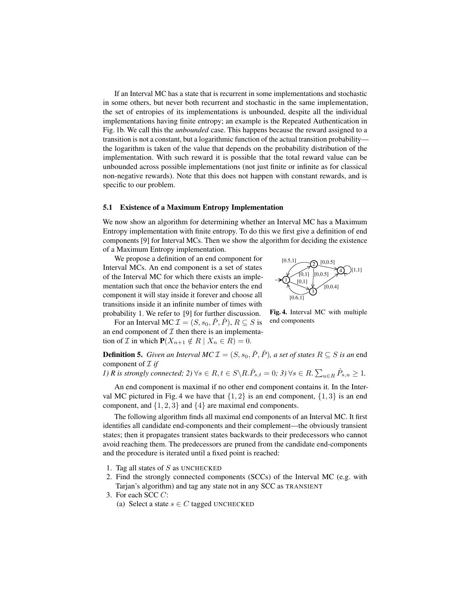If an Interval MC has a state that is recurrent in some implementations and stochastic in some others, but never both recurrent and stochastic in the same implementation, the set of entropies of its implementations is unbounded, despite all the individual implementations having finite entropy; an example is the Repeated Authentication in Fig. 1b. We call this the *unbounded* case. This happens because the reward assigned to a transition is not a constant, but a logarithmic function of the actual transition probability the logarithm is taken of the value that depends on the probability distribution of the implementation. With such reward it is possible that the total reward value can be unbounded across possible implementations (not just finite or infinite as for classical non-negative rewards). Note that this does not happen with constant rewards, and is specific to our problem.

#### 5.1 Existence of a Maximum Entropy Implementation

We now show an algorithm for determining whether an Interval MC has a Maximum Entropy implementation with finite entropy. To do this we first give a definition of end components [9] for Interval MCs. Then we show the algorithm for deciding the existence of a Maximum Entropy implementation.

We propose a definition of an end component for Interval MCs. An end component is a set of states of the Interval MC for which there exists an implementation such that once the behavior enters the end component it will stay inside it forever and choose all transitions inside it an infinite number of times with probability 1. We refer to [9] for further discussion.



Fig. 4. Interval MC with multiple end components

For an Interval MC  $\mathcal{I} = (S, s_0, \check{P}, \hat{P}), R \subseteq S$  is an end component of  $I$  then there is an implementation of  $\mathcal I$  in which  $\mathbf P(X_{n+1} \notin R \mid X_n \in R) = 0$ .

**Definition 5.** *Given an Interval MC*  $\mathcal{I} = (S, s_0, \check{P}, \hat{P})$ *, a set of states*  $R \subseteq S$  *is an end* component of  $I$  *if* 

*1)* R is strongly connected;  $2)$   $\forall s \in R$ ,  $t \in S \setminus R$ .  $\tilde{P}_{s,t} = 0$ ;  $3)$   $\forall s \in R$ .  $\sum_{u \in R} \hat{P}_{s,u} \ge 1$ .

An end component is maximal if no other end component contains it. In the Interval MC pictured in Fig. 4 we have that  $\{1, 2\}$  is an end component,  $\{1, 3\}$  is an end component, and  $\{1, 2, 3\}$  and  $\{4\}$  are maximal end components.

The following algorithm finds all maximal end components of an Interval MC. It first identifies all candidate end-components and their complement—the obviously transient states; then it propagates transient states backwards to their predecessors who cannot avoid reaching them. The predecessors are pruned from the candidate end-components and the procedure is iterated until a fixed point is reached:

- 1. Tag all states of  $S$  as UNCHECKED
- 2. Find the strongly connected components (SCCs) of the Interval MC (e.g. with Tarjan's algorithm) and tag any state not in any SCC as TRANSIENT
- 3. For each SCC C:
	- (a) Select a state  $s \in C$  tagged UNCHECKED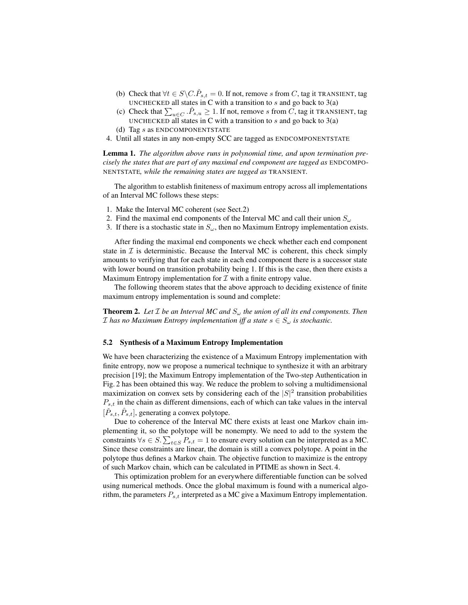- (b) Check that  $\forall t \in S \backslash C.\check{P}_{s,t} = 0$ . If not, remove s from C, tag it TRANSIENT, tag UNCHECKED all states in C with a transition to  $s$  and go back to  $3(a)$
- (c) Check that  $\sum_{u \in C} \hat{P}_{s,u} \ge 1$ . If not, remove s from C, tag it TRANSIENT, tag UNCHECKED all states in C with a transition to  $s$  and go back to  $3(a)$
- (d) Tag s as ENDCOMPONENTSTATE
- 4. Until all states in any non-empty SCC are tagged as ENDCOMPONENTSTATE

Lemma 1. *The algorithm above runs in polynomial time, and upon termination precisely the states that are part of any maximal end component are tagged as* ENDCOMPO-NENTSTATE*, while the remaining states are tagged as* TRANSIENT*.*

The algorithm to establish finiteness of maximum entropy across all implementations of an Interval MC follows these steps:

- 1. Make the Interval MC coherent (see Sect.2)
- 2. Find the maximal end components of the Interval MC and call their union  $S_{\omega}$
- 3. If there is a stochastic state in  $S_{\omega}$ , then no Maximum Entropy implementation exists.

After finding the maximal end components we check whether each end component state in  $I$  is deterministic. Because the Interval MC is coherent, this check simply amounts to verifying that for each state in each end component there is a successor state with lower bound on transition probability being 1. If this is the case, then there exists a Maximum Entropy implementation for  $\mathcal I$  with a finite entropy value.

The following theorem states that the above approach to deciding existence of finite maximum entropy implementation is sound and complete:

**Theorem 2.** Let  $\mathcal I$  be an Interval MC and  $S_\omega$  the union of all its end components. Then *I* has no Maximum Entropy implementation iff a state  $s \in S_\omega$  is stochastic.

#### 5.2 Synthesis of a Maximum Entropy Implementation

We have been characterizing the existence of a Maximum Entropy implementation with finite entropy, now we propose a numerical technique to synthesize it with an arbitrary precision [19]; the Maximum Entropy implementation of the Two-step Authentication in Fig. 2 has been obtained this way. We reduce the problem to solving a multidimensional maximization on convex sets by considering each of the  $|S|^2$  transition probabilities  $P_{s,t}$  in the chain as different dimensions, each of which can take values in the interval  $[\check{P}_{s,t}, \hat{P}_{s,t}]$ , generating a convex polytope.

Due to coherence of the Interval MC there exists at least one Markov chain implementing it, so the polytope will be nonempty. We need to add to the system the constraints  $\forall s \in S$ .  $\sum_{t \in S} P_{s,t} = 1$  to ensure every solution can be interpreted as a MC. Since these constraints are linear, the domain is still a convex polytope. A point in the polytope thus defines a Markov chain. The objective function to maximize is the entropy of such Markov chain, which can be calculated in PTIME as shown in Sect. 4.

This optimization problem for an everywhere differentiable function can be solved using numerical methods. Once the global maximum is found with a numerical algorithm, the parameters  $P_{s,t}$  interpreted as a MC give a Maximum Entropy implementation.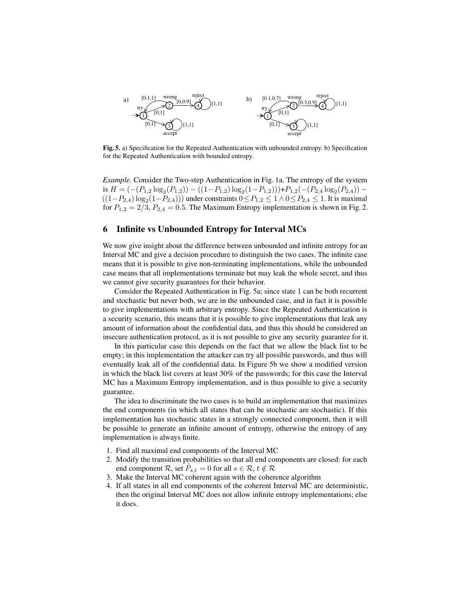

Fig. 5. a) Specification for the Repeated Authentication with unbounded entropy. b) Specification for the Repeated Authentication with bounded entropy.

*Example.* Consider the Two-step Authentication in Fig. 1a. The entropy of the system is  $H = (-(P_{1,2}\log_2(P_{1,2})) - ((1-P_{1,2})\log_2(1-P_{1,2}))) + P_{1,2}(-(P_{2,4}\log_2(P_{2,4})) ((1-P_{2,4})\log_2(1-P_{2,4})))$  under constraints  $0 \le P_{1,2} \le 1 \wedge 0 \le P_{2,4} \le 1$ . It is maximal for  $P_{1,2} = 2/3$ ,  $P_{2,4} = 0.5$ . The Maximum Entropy implementation is shown in Fig. 2.

#### 6 Infinite vs Unbounded Entropy for Interval MCs

We now give insight about the difference between unbounded and infinite entropy for an Interval MC and give a decision procedure to distinguish the two cases. The infinite case means that it is possible to give non-terminating implementations, while the unbounded case means that all implementations terminate but may leak the whole secret, and thus we cannot give security guarantees for their behavior.

Consider the Repeated Authentication in Fig. 5a; since state 1 can be both recurrent and stochastic but never both, we are in the unbounded case, and in fact it is possible to give implementations with arbitrary entropy. Since the Repeated Authentication is a security scenario, this means that it is possible to give implementations that leak any amount of information about the confidential data, and thus this should be considered an insecure authentication protocol, as it is not possible to give any security guarantee for it.

In this particular case this depends on the fact that we allow the black list to be empty; in this implementation the attacker can try all possible passwords, and thus will eventually leak all of the confidential data. In Figure 5b we show a modified version in which the black list covers at least 30% of the passwords; for this case the Interval MC has a Maximum Entropy implementation, and is thus possible to give a security guarantee.

The idea to discriminate the two cases is to build an implementation that maximizes the end components (in which all states that can be stochastic are stochastic). If this implementation has stochastic states in a strongly connected component, then it will be possible to generate an infinite amount of entropy, otherwise the entropy of any implementation is always finite.

- 1. Find all maximal end components of the Interval MC
- 2. Modify the transition probabilities so that all end components are closed: for each end component  $\mathcal{R}$ , set  $\hat{P}_{s,t} = 0$  for all  $s \in \mathcal{R}$ ,  $t \notin \mathcal{R}$
- 3. Make the Interval MC coherent again with the coherence algorithm
- 4. If all states in all end components of the coherent Interval MC are deterministic, then the original Interval MC does not allow infinite entropy implementations; else it does.